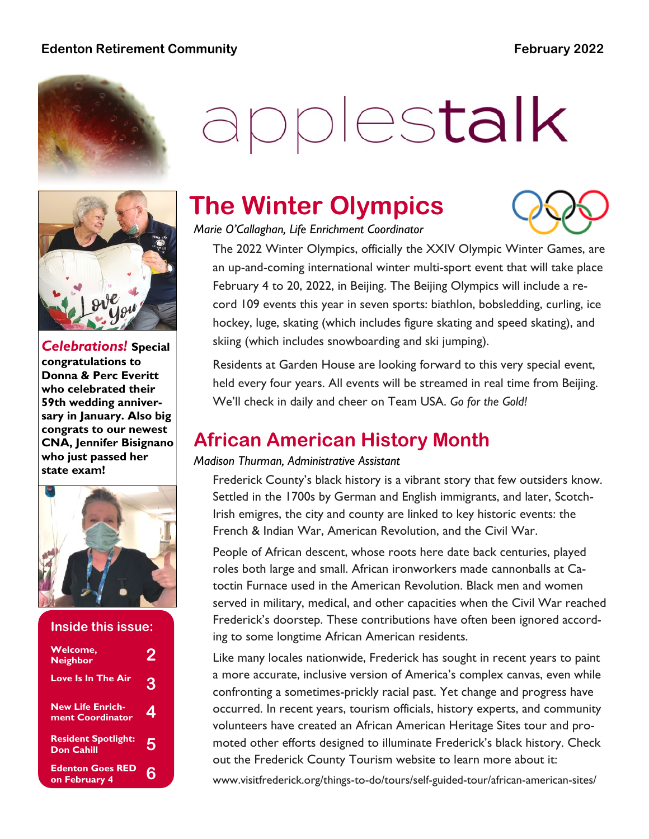#### **Edenton Retirement Community February 2022**



# applestalk



*Celebrations!* **Special congratulations to Donna & Perc Everitt who celebrated their 59th wedding anniversary in January. Also big congrats to our newest CNA, Jennifer Bisignano who just passed her state exam!**



#### **Inside this issue:**

| <b>Welcome,</b><br><b>Neighbor</b>              | Ù |
|-------------------------------------------------|---|
| Love Is In The Air                              | 3 |
| <b>New Life Enrich-</b><br>ment Coordinator     | 4 |
| <b>Resident Spotlight:</b><br><b>Don Cahill</b> | 5 |
| <b>Edenton Goes RED</b><br>on February 4        |   |

# **The Winter Olympics**



*Marie O'Callaghan, Life Enrichment Coordinator*

The 2022 Winter Olympics, officially the XXIV Olympic Winter Games, are an up-and-coming international winter multi-sport event that will take place February 4 to 20, 2022, in Beijing. The Beijing Olympics will include a record 109 events this year in seven sports: biathlon, bobsledding, curling, ice hockey, luge, skating (which includes figure skating and speed skating), and skiing (which includes snowboarding and ski jumping).

Residents at Garden House are looking forward to this very special event, held every four years. All events will be streamed in real time from Beijing. We'll check in daily and cheer on Team USA. *Go for the Gold!*

## **African American History Month**

#### *Madison Thurman, Administrative Assistant*

Frederick County's black history is a vibrant story that few outsiders know. Settled in the 1700s by German and English immigrants, and later, Scotch-Irish emigres, the city and county are linked to key historic events: the French & Indian War, American Revolution, and the Civil War.

People of African descent, whose roots here date back centuries, played roles both large and small. African ironworkers made cannonballs at Catoctin Furnace used in the American Revolution. Black men and women served in military, medical, and other capacities when the Civil War reached Frederick's doorstep. These contributions have often been ignored according to some longtime African American residents.

Like many locales nationwide, Frederick has sought in recent years to paint a more accurate, inclusive version of America's complex canvas, even while confronting a sometimes-prickly racial past. Yet change and progress have occurred. In recent years, tourism officials, history experts, and community volunteers have created an African American Heritage Sites tour and promoted other efforts designed to illuminate Frederick's black history. Check out the Frederick County Tourism website to learn more about it:

www.visitfrederick.org/things-to-do/tours/self-guided-tour/african-american-sites/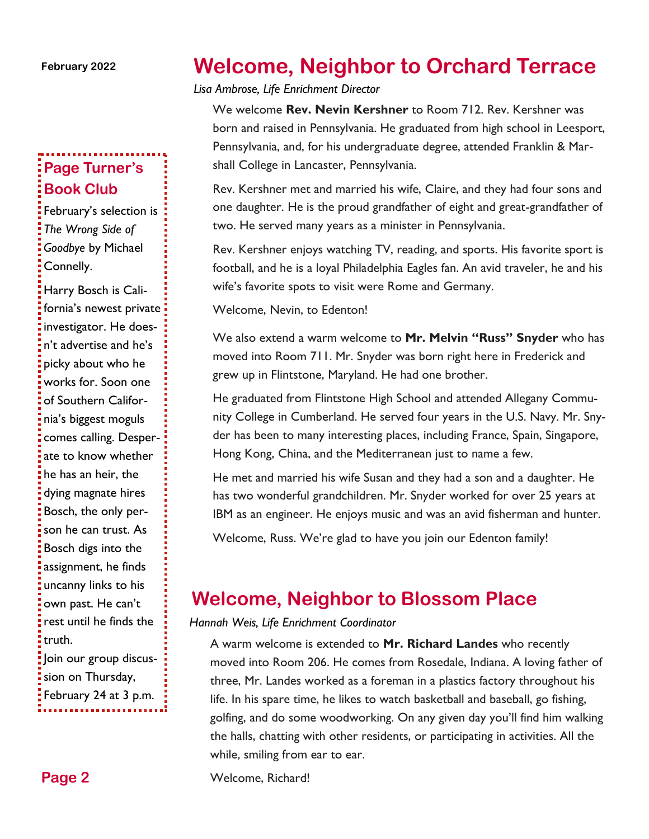#### **February 2022**

### **Page Turner's Book Club**

February's selection is *The Wrong Side of Goodbye* by Michael Connelly.

Harry Bosch is California's newest private investigator. He doesn't advertise and he's picky about who he works for. Soon one of Southern California's biggest moguls comes calling. Desperate to know whether he has an heir, the dying magnate hires Bosch, the only person he can trust. As Bosch digs into the assignment, he finds uncanny links to his own past. He can't rest until he finds the truth. Join our group discus-

sion on Thursday, February 24 at 3 p.m.

# **Welcome, Neighbor to Orchard Terrace**

*Lisa Ambrose, Life Enrichment Director*

We welcome **Rev. Nevin Kershner** to Room 712. Rev. Kershner was born and raised in Pennsylvania. He graduated from high school in Leesport, Pennsylvania, and, for his undergraduate degree, attended Franklin & Marshall College in Lancaster, Pennsylvania.

Rev. Kershner met and married his wife, Claire, and they had four sons and one daughter. He is the proud grandfather of eight and great-grandfather of two. He served many years as a minister in Pennsylvania.

Rev. Kershner enjoys watching TV, reading, and sports. His favorite sport is football, and he is a loyal Philadelphia Eagles fan. An avid traveler, he and his wife's favorite spots to visit were Rome and Germany.

Welcome, Nevin, to Edenton!

We also extend a warm welcome to **Mr. Melvin "Russ" Snyder** who has moved into Room 711. Mr. Snyder was born right here in Frederick and grew up in Flintstone, Maryland. He had one brother.

He graduated from Flintstone High School and attended Allegany Community College in Cumberland. He served four years in the U.S. Navy. Mr. Snyder has been to many interesting places, including France, Spain, Singapore, Hong Kong, China, and the Mediterranean just to name a few.

He met and married his wife Susan and they had a son and a daughter. He has two wonderful grandchildren. Mr. Snyder worked for over 25 years at IBM as an engineer. He enjoys music and was an avid fisherman and hunter.

Welcome, Russ. We're glad to have you join our Edenton family!

## **Welcome, Neighbor to Blossom Place**

*Hannah Weis, Life Enrichment Coordinator*

A warm welcome is extended to **Mr. Richard Landes** who recently moved into Room 206. He comes from Rosedale, Indiana. A loving father of three, Mr. Landes worked as a foreman in a plastics factory throughout his life. In his spare time, he likes to watch basketball and baseball, go fishing, golfing, and do some woodworking. On any given day you'll find him walking the halls, chatting with other residents, or participating in activities. All the while, smiling from ear to ear.

Welcome, Richard!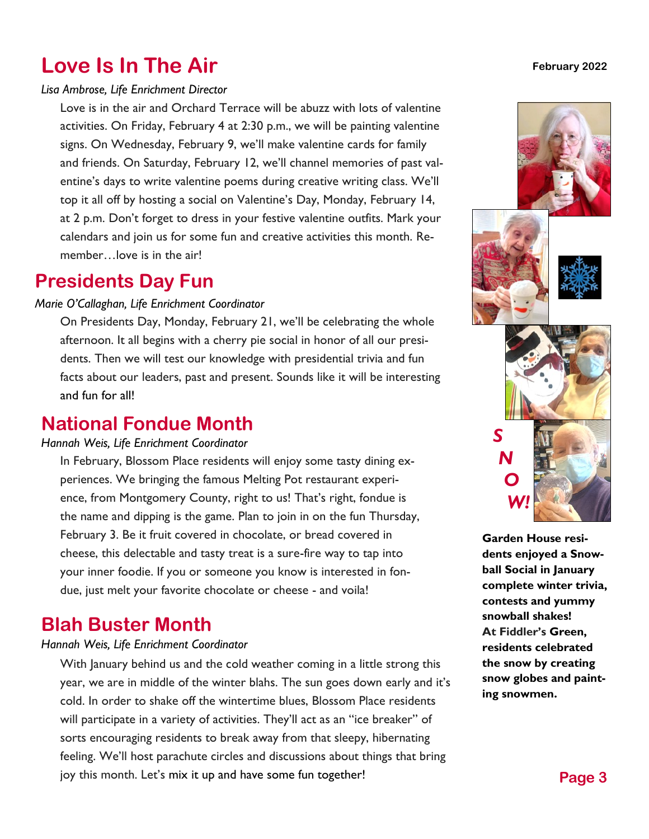# **Love Is In The Air**

#### *Lisa Ambrose, Life Enrichment Director*

Love is in the air and Orchard Terrace will be abuzz with lots of valentine activities. On Friday, February 4 at 2:30 p.m., we will be painting valentine signs. On Wednesday, February 9, we'll make valentine cards for family and friends. On Saturday, February 12, we'll channel memories of past valentine's days to write valentine poems during creative writing class. We'll top it all off by hosting a social on Valentine's Day, Monday, February 14, at 2 p.m. Don't forget to dress in your festive valentine outfits. Mark your calendars and join us for some fun and creative activities this month. Remember. Jove is in the air!

## **Presidents Day Fun**

#### *Marie O'Callaghan, Life Enrichment Coordinator*

On Presidents Day, Monday, February 21, we'll be celebrating the whole afternoon. It all begins with a cherry pie social in honor of all our presidents. Then we will test our knowledge with presidential trivia and fun facts about our leaders, past and present. Sounds like it will be interesting and fun for all!

## **National Fondue Month**

#### $H$ annah Weis, Life Enrichment Coordinator

In February, Blossom Place residents will enjoy some tasty dining experiences. We bringing the famous Melting Pot restaurant experience, from Montgomery County, right to us! That's right, fondue is the name and dipping is the game. Plan to join in on the fun Thursday, February 3. Be it fruit covered in chocolate, or bread covered in cheese, this delectable and tasty treat is a sure-fire way to tap into your inner foodie. If you or someone you know is interested in fondue, just melt your favorite chocolate or cheese - and voila!

# **Blah Buster Month**

#### *Hannah Weis, Life Enrichment Coordinator*

With January behind us and the cold weather coming in a little strong this year, we are in middle of the winter blahs. The sun goes down early and it's cold. In order to shake off the wintertime blues, Blossom Place residents will participate in a variety of activities. They'll act as an "ice breaker" of sorts encouraging residents to break away from that sleepy, hibernating feeling. We'll host parachute circles and discussions about things that bring joy this month. Let's mix it up and have some fun together!

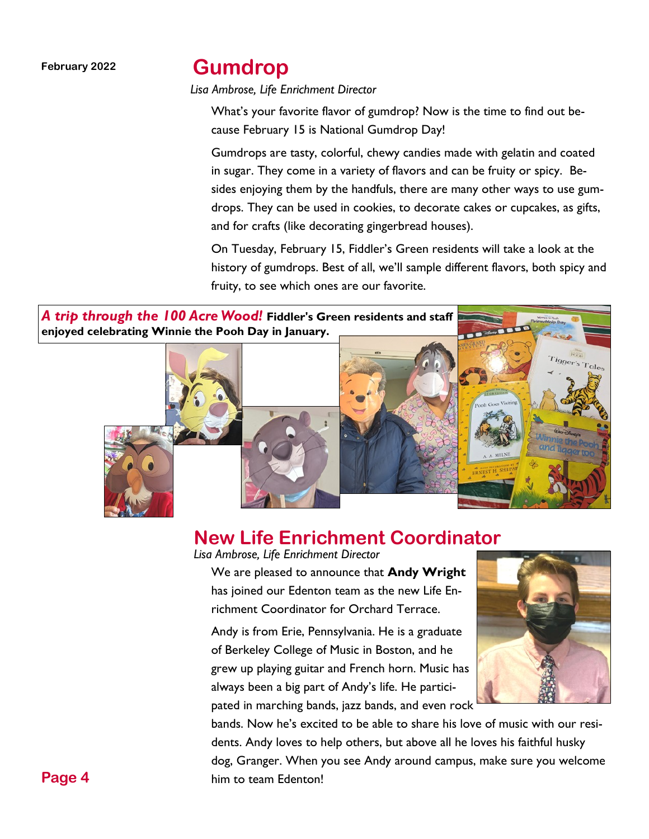#### **February 2022**

## **Gumdrop**

*Lisa Ambrose, Life Enrichment Director*

What's your favorite flavor of gumdrop? Now is the time to find out because February 15 is National Gumdrop Day!

Gumdrops are tasty, colorful, chewy candies made with gelatin and coated in sugar. They come in a variety of flavors and can be fruity or spicy. Besides enjoying them by the handfuls, there are many other ways to use gumdrops. They can be used in cookies, to decorate cakes or cupcakes, as gifts, and for crafts (like decorating gingerbread houses).

On Tuesday, February 15, Fiddler's Green residents will take a look at the history of gumdrops. Best of all, we'll sample different flavors, both spicy and fruity, to see which ones are our favorite.

*A trip through the 100 Acre Wood!* **Fiddler's Green residents and staff enjoyed celebrating Winnie the Pooh Day in January.**



# **New Life Enrichment Coordinator**

*Lisa Ambrose, Life Enrichment Director*

We are pleased to announce that **Andy Wright**  has joined our Edenton team as the new Life Enrichment Coordinator for Orchard Terrace.

Andy is from Erie, Pennsylvania. He is a graduate of Berkeley College of Music in Boston, and he grew up playing guitar and French horn. Music has always been a big part of Andy's life. He participated in marching bands, jazz bands, and even rock



bands. Now he's excited to be able to share his love of music with our residents. Andy loves to help others, but above all he loves his faithful husky dog, Granger. When you see Andy around campus, make sure you welcome him to team Edenton!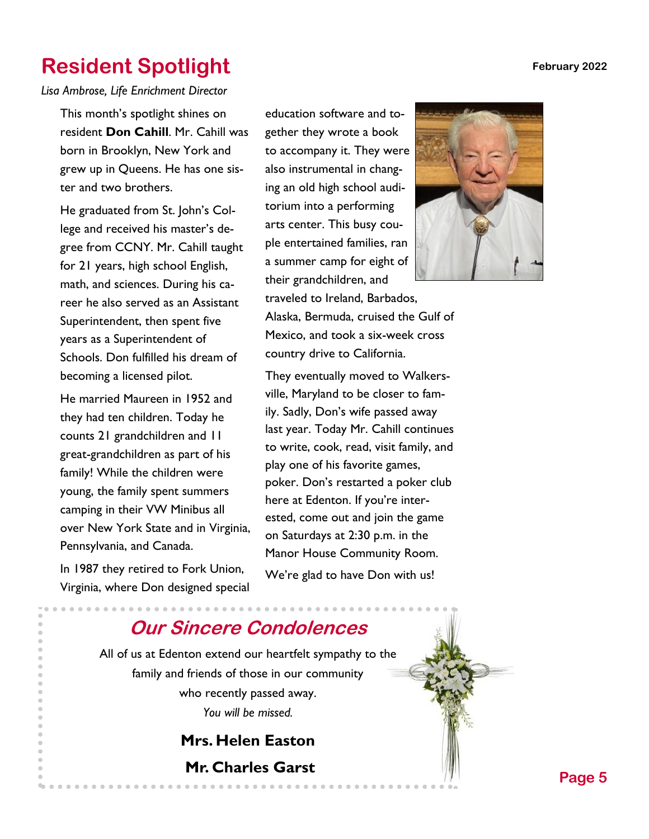**February 2022**

# **Resident Spotlight**

*Lisa Ambrose, Life Enrichment Director*

This month's spotlight shines on resident **Don Cahill**. Mr. Cahill was born in Brooklyn, New York and grew up in Queens. He has one sister and two brothers.

He graduated from St. John's College and received his master's degree from CCNY. Mr. Cahill taught for 21 years, high school English, math, and sciences. During his career he also served as an Assistant Superintendent, then spent five years as a Superintendent of Schools. Don fulfilled his dream of becoming a licensed pilot.

He married Maureen in 1952 and they had ten children. Today he counts 21 grandchildren and 11 great-grandchildren as part of his family! While the children were young, the family spent summers camping in their VW Minibus all over New York State and in Virginia, Pennsylvania, and Canada.

In 1987 they retired to Fork Union, Virginia, where Don designed special education software and together they wrote a book to accompany it. They were also instrumental in changing an old high school auditorium into a performing arts center. This busy couple entertained families, ran a summer camp for eight of their grandchildren, and

traveled to Ireland, Barbados, Alaska, Bermuda, cruised the Gulf of Mexico, and took a six-week cross country drive to California.

They eventually moved to Walkersville, Maryland to be closer to family. Sadly, Don's wife passed away last year. Today Mr. Cahill continues to write, cook, read, visit family, and play one of his favorite games, poker. Don's restarted a poker club here at Edenton. If you're interested, come out and join the game on Saturdays at 2:30 p.m. in the Manor House Community Room. We're glad to have Don with us!



## **Our Sincere Condolences**

All of us at Edenton extend our heartfelt sympathy to the family and friends of those in our community who recently passed away. *You will be missed.*

# **Mrs. Helen Easton Mr. Charles Garst Page 5**